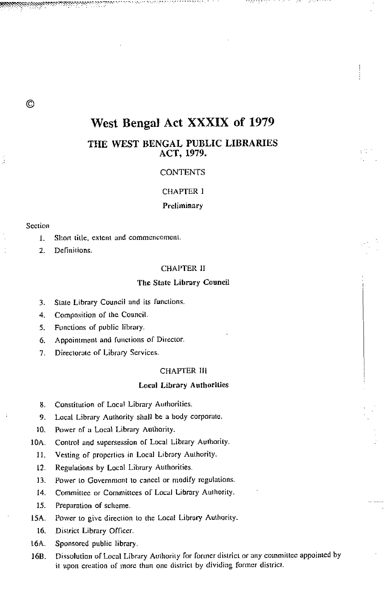# West Bengal Act XXXIX of 1979

# THE WEST BENGAL PUBLIC LIBRARIES ACT, 1979.

# **CONTENTS**

# **CHAPTER I**

# Preliminary

## Section

 $\circled{c}$ 

- $\mathbf{L}$ Short title, extent and commencement.
- $\overline{2}$ Definitions.

# CHAPTER II

# The State Library Council

- State Library Council and its functions.  $3<sub>1</sub>$
- Composition of the Council.  $\overline{4}$ .
- Functions of public library. 5.
- Appointment and functions of Director. 6.
- Directorate of Library Services.  $\overline{7}$ .

# **CHAPTER III**

# **Local Library Authorities**

- 8. Constitution of Local Library Authorities.
- Local Library Authority shall be a body corporate. 9.
- Power of a Local Library Authority.  $10.$
- 10A. Control and supersession of Local Library Authority.
	- Vesting of properties in Local Library Authority.  $11.$
	- $12.$ Regulations by Local Library Authorities.
	- Power to Government to cancel or modify regulations.  $13.$
	- $14.$ Committee or Committees of Local Library Authority.
	- $15.$ Preparation of scheme.
- 15A. Power to give direction to the Local Library Authority.
	- 16. District Library Officer.
- 16A. Sponsored public library.
- Dissolution of Local Library Authority for former district or any committee appointed by 16B. it upon creation of more than one district by dividing former district.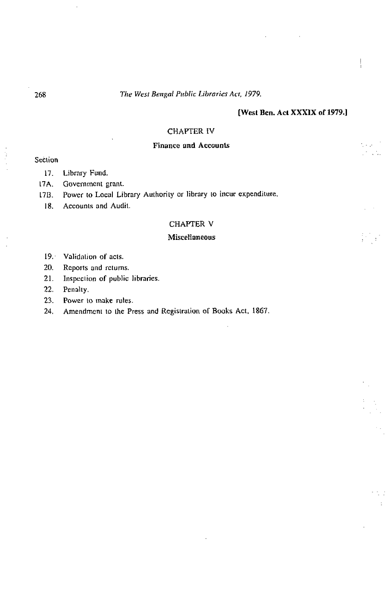# [West Ben. Act XXXIX of 1979.]

# **CHAPTER IV**

# **Finance and Accounts**

# Section

- 17. Library Fund.
- $17A.$ Government grant.
- Power to Local Library Authority or library to incur expenditure.  $17B$ .
	- Accounts and Audit.  $18.$

# CHAPTER V

#### Miscellaneous

- 19. Validation of acts.
- 20. Reports and returns.
- $21.$ Inspection of public libraries.
- $22.$ Penalty.
- 23. Power to make rules.
- 24. Amendment to the Press and Registration of Books Act, 1867.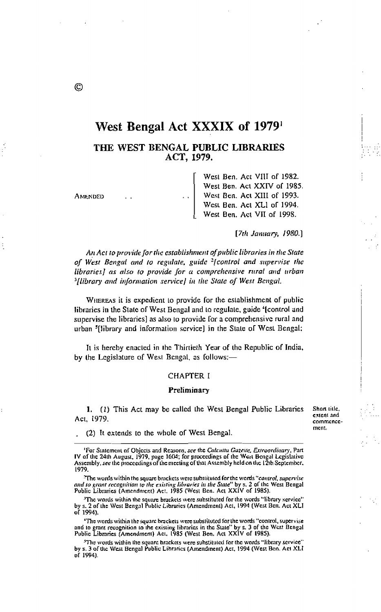# West Bengal Act XXXIX of 1979

THE WEST BENGAL PUBLIC LIBRARIES ACT, 1979.

| AMENDED | West Ben. Act VIII of 1982.<br>West Ben. Act XXIV of 1985<br>West Ben. Act XIII of 1993. |
|---------|------------------------------------------------------------------------------------------|
|         | West Ben. Act XLI of 1994.                                                               |
|         | West Ben. Act VII of 1998.                                                               |

[7th January, 1980.]

An Act to provide for the establishment of public libraries in the State of West Bengal and to regulate, guide <sup>2</sup>[control and supervise the libraries] as also to provide for a comprehensive rural and urban <sup>3</sup>[library and information service] in the State of West Bengal.

WHEREAS it is expedient to provide for the establishment of public libraries in the State of West Bengal and to regulate, guide '[control and supervise the libraries] as also to provide for a comprehensive rural and urban <sup>5</sup>[library and information service] in the State of West Bengal:

It is hereby enacted in the Thirtieth Year of the Republic of India, by the Legislature of West Bengal, as follows:-

## **CHAPTER I**

#### Preliminary

1. (1) This Act may be called the West Bengal Public Libraries Act. 1979.

Short title, extent and communcement.

(2) It extends to the whole of West Bengal.

The words within the square brackets were substituted for the words "control, supervise" and to grant recognition to the existing libraries in the State" by s. 2 of the West Bengal<br>Public Libraries (Amendment) Act. 1985 (West Ben. Act XXIV of 1985).

'The words within the square brackets were substituted for the words "library service" by s. 2 of the West Bengal Public Libraries (Amendment) Act, 1994 (West Ben. Act XLI of 1994).

"The words within the square brackets were substituted for the words "control, supervise and to grant recognition to the existing libraries in the State" by s. 3 of the West Bengal Public Libraries (Amendment) Act, 1985 (West Ben, Act XXIV of 1985).

<sup>5</sup>The words within the square brackets were substituted for the words "library service" by s. 3 of the West Bengal Public Libraries (Amendment) Act, 1994 (West Ben. Act XLI of 1994).

 $\circledcirc$ 

<sup>&</sup>lt;sup>1</sup>For Statement of Objects and Reasons, see the Calentia Gazette, Extraordinary, Part IV of the 24th August, 1979, page 1604; for proceedings of the West Bengal Legislative Assembly, see the proceedings of the meeting of that Assembly held on the 12th September. 1979.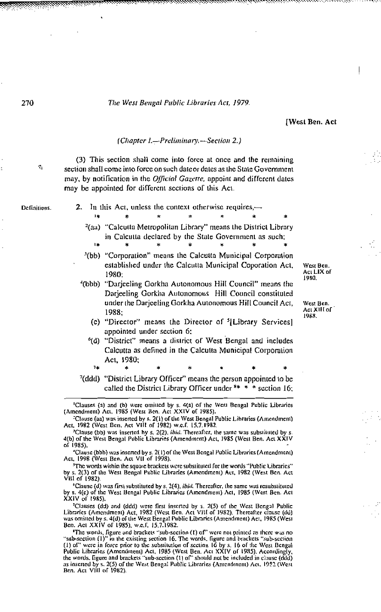**[West Ben. Act** 

#### (Chapter 1.-Preliminary.-Section 2.)

(3) This section shall come into force at once and the remaining section shall come into force on such date or dates as the State Government may, by notification in the *Official Gazette*, appoint and different dates may be appointed for different sections of this Act.

Definitions.

ę,

- 2. In this Act, unless the context otherwise requires,—
	- <sup>2</sup>(aa) "Calcutta Metropolitan Library" means the District Library in Calcutta declared by the State Government as such;
	- <sup>3</sup>(bb) "Corporation" means the Calcutta Municipal Corporation established under the Calcutta Municipal Coporation Act, 1980:
	- '(bbb) "Darjeeling Gorkha Autonomous Hill Council" means the Darjeeling Gorkha Autonomous Hill Council constituted under the Darjeeling Gorkha Autonomous Hill Council Act, 1988:
		- (c) "Director" means the Director of <sup>5</sup>[Library Services] appointed under section 6:
		- <sup>6</sup>(d) "District" means a district of West Bengal and includes Calcutta as defined in the Calcutta Municipal Corporation Act, 1980;  $14$
- <sup>7</sup>(ddd) "District Library Officer" means the person appointed to be called the District Library Officer under \*\* \* \* section 16;

<sup>2</sup>Clause (aa) was inserted by s. 2(1) of the West Bengal Public Libraries (Amendment) Act, 1982 (West Ben. Act VIII of 1982) w.e.f. 15.7.1982.

West Ben. Acı LIX of .....<br>1980.

West Ben. Act XIII of 1988.

<sup>&</sup>lt;sup>1</sup>Clauses (a) and (b) were omitted by s. 4(a) of the West Bengal Public Libraries (Amendment) Act, 1985 (West Ben. Act XXIV of 1985).

<sup>&#</sup>x27;Clause (bb) was inserted by s. 2(2), *ibid*. Thereafter, the same was substituted by : 4(b) of the West Bengal Public Libraries (Amendment) Act, 1985 (West Ben. Act XXIV of 1985).

<sup>&</sup>quot;Clause (bbb) was inserted by s. 2(1) of the West Bengal Public Libraries (Amendment) Act, 1998 (West Ben, Act VII of 1998).

<sup>&</sup>lt;sup>5</sup>The words within the square brackets were substituted for the words "Public Libraries"<br>by s. 2(3) of the West Bengal Public Libraries (Amendment) Act, 1982 (West Ben. Act VIII of 1982)

Clause (d) was first substituted by s. 2(4), *ibid*. Thereafter, the same was resubstituted by s. 4(c) of the West Bengal Public Libraries (Amendment) Act, 1985 (West Ben. Act XXIV of 1985).

<sup>&</sup>lt;sup>7</sup>Clauses (dd) and (ddd) were first inserted by s. 2(5) of the West Bengal Public Libraries (Amendment) Act, 1982 (West Ben. Act VIII of 1982). Thereafter clause (dd) was omitted by s. 4(d) of the West Bengal Public Libraries (Amendment) Act, 1985 (West Ben. Act XXIV of 1985), w.e.f. 15.7.1982.

The words, figure and brackets "sub-section (1) of" were not printed as there was no<br>"sub-section (1)" in the existing section 16. The words, figure and brackets "sub-section<br>(1) of" were in force prior to the substitution as inserted by s. 2(5) of the West Bengal Public Libraries (Amendment) Act, 1922 (West Ben, Act VIII of 1982).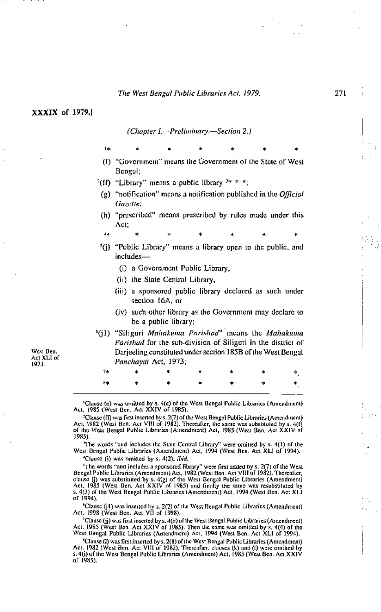#### XXXIX of 1979.1

ÎЖ

(Chapter I.-Preliminary.-Section 2.)

- (f) "Government" means the Government of the State of West Bengal;
- <sup>2</sup>(ff) "Library" means a public library  $3* * *$ :
- (g) "notification" means a notification published in the *Official* Gazette;
- (h) "prescribed" means prescribed by rules made under this Act.
- 
- <sup>5</sup>(j) "Public Library" means a library open to the public, and includes—
	- (i) a Government Public Library,
	- (ii) the State Central Library,
	- (iii) a sponsored public library declared as such under section 16A, or
	- (iv) such other library as the Government may declare to be a public library;
- <sup>6</sup>(j1) "Siliguri Mahakuma Parishad" means the Mahakuma Parishad for the sub-division of Siliguri in the district of Darjeeling consultuted under section 185B of the West Bengal Panchayat Act, 1973;

|  |  | $\begin{array}{ccccccccccccccccccccc}7 \star & & \star & & \star & & \star & & \star & & \star & & \star & & \star \end{array}$                                                                                                                                                                                                                             |  |
|--|--|-------------------------------------------------------------------------------------------------------------------------------------------------------------------------------------------------------------------------------------------------------------------------------------------------------------------------------------------------------------|--|
|  |  | $\begin{picture}(250,20) \put(0,0){\vector(1,0){100}} \put(150,0){\vector(1,0){100}} \put(150,0){\vector(1,0){100}} \put(150,0){\vector(1,0){100}} \put(150,0){\vector(1,0){100}} \put(150,0){\vector(1,0){100}} \put(150,0){\vector(1,0){100}} \put(150,0){\vector(1,0){100}} \put(150,0){\vector(1,0){100}} \put(150,0){\vector(1,0){100}} \put(150,0){\$ |  |

<sup>1</sup>Clause (e) was omitted by s. 4(e) of the West Bengal Public Libraries (Antendment)<br>Act, 1985 (West Ben, Act XXIV of 1985).

<sup>3</sup>Clause (ff) was first inserted by s. 2(7) of the West Bengal Public Libraries (Amendment)<br>Act, 1982 (West Ben, Act VIII of 1982). Thereafter, the same was substituted by s. 4(f) of the West Bengal Public Libraries (Amendment) Act, 1985 (West Ben. Act XXIV of 1985)

<sup>3</sup>The words "and includes the State Central Library" were omitted by s. 4(1) of the West Bengal Public Libraries (Amendment) Act, 1994 (West Ben. Act XLI of 1994),

<sup>4</sup>Clause (i) was omitted by s. 4(2), ibid.

<sup>5</sup>The words "and includes a sponsored library" were first added by s. 2(7) of the West Bengal Public Libraries (Amendment) Act, 1982 (West Ben, Act VIII of 1982). Thereafter, clause (j) was substituted by s. 4(g) of the West Bengal Public Libraries (Amendment) Act, 1985 (West Ben, Act XXIV of 1985) and finally the same was resubstituted by s. 4(3) of the West Bengal Public Libraries (Amendinent) Act, 1994 (West Ben. Act XLI of 1994).

<sup>6</sup>Clause (j1) was inserted by s. 2(2) of the West Bengal Public Libraries (Amendment) Act, 1998 (West Ben. Act VII of 1998).

<sup>2</sup>Clause (jj) was first inserted by s. 4(h) of the West Bengal Public Libraries (Amendment) Act. 1985 (West Ben, Act XXIV of 1985). Then the same was amitted by s. 4(4) of the West Ben, Act XXIV of 1985). Then the same was amitted by s. 4(4) of the West Bengal Public Libraries (Amendment) Act. 1994 (West Ben. Act

"Clause (I) was first inserted by s. 2(8) of the West Bengal Public Libraries (Amendment)<br>Act, 1982 (West Ben, Act VIII of 1982), Thereafter, clauses (k) and (I) were omitted by<br>s. 4(i) of the West Bengal Public Libraries of 1985).

West Ben. Act XLI of 1973.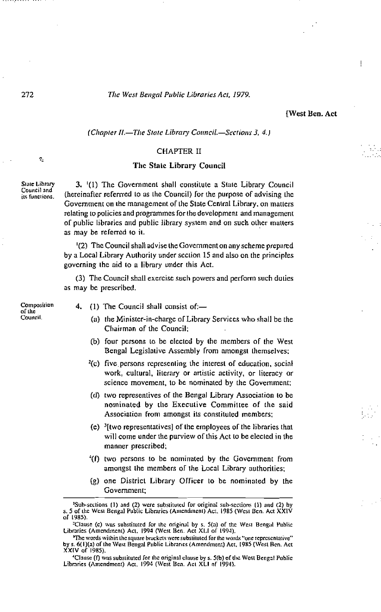#### **West Ben. Act**

#### (Chapter II.-The State Library Council.-Sections 3, 4.)

#### CHAPTER II

#### The State Library Council

3. (1) The Government shall constitute a State Library Council (hereinafter referried to as the Council) for the purpose of advising the Government on the management of the State Central Library, on matters relating to policies and programmes for the development and management of public libraries and public library system and on such other matters as may be referred to it.

<sup>1</sup>(2) The Council shall advise the Government on any scheme prepared by a Local Library Authority under section 15 and also on the principles governing the aid to a library under this Act.

(3) The Council shall exercise such powers and perform such duties as may be prescribed.

Composition  $of the$ Council.

- 4. (1) The Council shall consist of:-
	- (a) the Minister-in-charge of Library Services who shall be the Chairman of the Council;
	- (b) four persons to be elected by the members of the West Bengal Legislative Assembly from amongst themselves;
	- $^{2}(c)$  five persons representing the interest of education, social work, cultural, literary or artistic activity, or literacy or science movement, to be nominated by the Government;
	- (d) two representives of the Bengal Library Association to be nominated by the Executive Committee of the said Association from amongst its constituted members;
	- (c)  $\frac{3}{1}$  (two representatives) of the employees of the libraries that will come under the purview of this Act to be elected in the manner prescribed;
	- <sup>4</sup>(f) two persons to be nominated by the Government from amongst the members of the Local Library authorities;
	- (g) one District Library Officer to be nominated by the Government;

272

ę,

State Library

Council and

its functions.

<sup>&</sup>lt;sup>1</sup>Sub-sections (1) and (2) were substituted for original sub-sections (1) and (2) by s. 5 of the West Bengal Public Libraries (Amendment) Act. 1985 (West Ben. Act XXIV of 1985).

<sup>&</sup>lt;sup>3</sup>Clause (c) was substituted for the original by s. 5(a) of the West Bengal Public Libraries (Amendment) Act, 1994 (West Ben, Act XLI of 1994).

<sup>&#</sup>x27;The words within the square brackets were substituted for the words "one representative" by s. 6(1)(a) of the West Bengal Public Libraries (Amendment) Act. 1985 (West Ben. Act XXIV of 1985).

<sup>&</sup>lt;sup>4</sup>Clause (f) was substituted for the original clause by s. 5(b) of the West Bengal Public Libraries (Amendment) Act, 1994 (West Ben. Act XLI of 1994).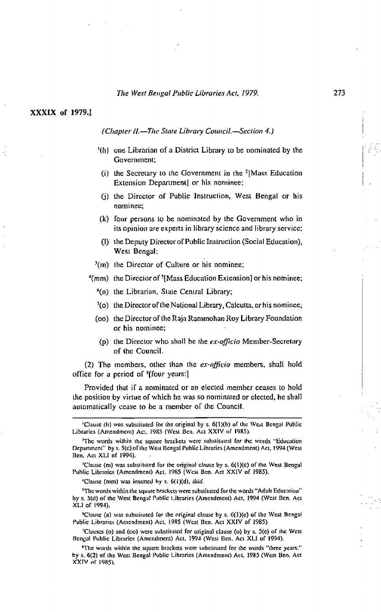XXXIX of 1979.1

## (Chapter II.-The State Library Council.-Section 4.)

- (h) one Librarian of a District Library to be nominated by the Government:
- (i) the Secretary to the Government in the  $^{2}$ [Mass Education Extension Department] or his nominee:
- (i) the Director of Public Instruction, West Bengal or his nominee;
- (k) four persons to be nominated by the Government who in its opinion are experts in library science and library service;
- (i) the Deputy Director of Public Instruction (Social Education), West Beneal:
- $(3\pi)$  the Director of Culture or his nominee;
- <sup>4</sup>(mm) the Director of <sup>5</sup>[Mass Education Extension] or his nominee;
	- <sup>6</sup>(n) the Librarian, State Central Library;
	- 7(o) the Director of the National Library, Calcutta, or his nominee;
	- (co) the Director of the Raja Rammohan Roy Library Foundation or his nominee;
	- (p) the Director who shall be the  $ex\text{-}offici\omega$  Member-Secretary of the Council.

(2) The members, other than the ex-officio members, shall hold office for a period of '(four years:)

Provided that if a nominated or an elected member ceases to hold the position by virtue of which he was so nominated or elected, he shall automatically cease to be a member of the Council.

<sup>&#</sup>x27;Clause (h) was substituted for the original by s. 6(1)(b) of the West Bengal Public Libraries (Amendment) Act, 1985 (West Ben. Act XXIV of 1985).

The words within the square brackets were substituted for the words "Education" Department" by s. 5(c) of the West Bengal Public Libraries (Amendment) Act, 1994 (West Ben, Act XLI of 1994).

<sup>&</sup>lt;sup>3</sup>Clause (ni) was substituted for the original clause by s. 6(1)(c) of the West Bengal Public Libraries (Amendment) Act. 1985 (West Ben. Act XXIV of 1985).

<sup>&</sup>lt;sup>4</sup>Clause (mm) was inserted by  $s$ .  $6(1)(d)$ , *ibid.* 

<sup>&</sup>lt;sup>3</sup>The words within the square brackets were substituted for the words "Adult Education" by s. 5(d) of the West Bengal Public Libraries (Amendment) Act, 1994 (West Ben. Act XLI of 1994).

<sup>&</sup>lt;sup>6</sup>Clause (n) was substituted for the original clause by s. 6(1)(e) of the West Bengal Public Libraries (Amendment) Act, 1985 (West Ben. Act XXIV of 1985).

<sup>&</sup>lt;sup>7</sup>Clauses (o) and (oo) were substituted for original clause (o) by s. 5(e) of the West Bengal Public Libraries (Amendment) Act, 1994 (West Ben. Act XLI of 1994).

<sup>&</sup>quot;The words within the square brackets were substituted for the words "three years:" by s. 6(2) of the West Bengal Public Libraries (Amendment) Act, 1985 (West Ben, Act XXIV of 1985).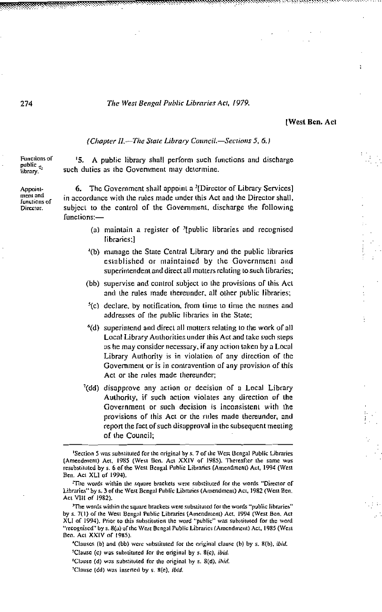[West Ben. Act

#### (Chapter II.-The State Library Council.-Sections 5, 6.)

Functions of public<br>library.

Appointment and **Junctions of** Director.

such duties as the Government may determine.

'5. A public library shall perform such functions and discharge

The Government shall appoint a <sup>2</sup>[Director of Library Services] 6. in accordance with the rules made under this Act and the Director shall, subject to the control of the Government, discharge the following functions:-

- (a) maintain a register of '[public libraries and recognised libraries:1
- <sup>4</sup>(b) manage the State Central Library and the public libraries established or maintained by the Government and superintendent and direct all matters relating to such libraries;
- (bb) supervise and control subject to the provisions of this Act and the rules made thereunder, all other public libraries;
- $<sup>5</sup>(c)$  declare, by notification, from time to time the names and</sup> addresses of the public libraries in the State;
- <sup>6</sup>(d) superintend and direct all matters relating to the work of all Local Library Authorities under this Act and take such steps as he may consider necessary, if any action taken by a Local Library Authority is in violation of any direction of the Government or is in contravention of any provision of this Act or the rules made thereunder;
- $^7$ (dd) disapprove any action or decision of a Local Library Authority, if such action violates any direction of the Government or such decision is inconsistent with the provisions of this Act or the rules made thereunder, and report the fact of such disapproval in the subsequent meeting of the Council:

<sup>&#</sup>x27;Section 5 was substituted for the original by s. 7 of the West Bengal Public Libraries (Amendment) Act, 1985 (West Ben, Act XXIV of 1985). Thereafter the same was resubstituted by s. 6 of the West Bengal Public Libraries (Amendment) Act, 1994 (West Ben. Act XLI of 1994).

The words within the square brackets were substituted for the words "Director of Libraries" by s. 3 of the West Bengal Public Libraries (Amendment) Act, 1982 (West Ben, Act VIII of 1982).

<sup>&</sup>lt;sup>3</sup>The words within the square brackets were substituted for the words "public libraries" by s. 7(1) of the West Bengal Public Libraries (Amendment) Act. 1994 (West Ben, Act XLI of 1994). Prior to this substitution the word "public" was substituted for the word "recognised" by s. 8(a) of the West Bengal Public Libraries (Amendment) Act, 1985 (West Ben. Act XXIV of 1985).

<sup>&#</sup>x27;Clauses (b) and (bb) were substituted for the original clause (b) by s. 8(b), ibid. <sup>3</sup>Clause (c) was substituted for the original by s. 8(c), ibid.

<sup>&</sup>lt;sup>6</sup>Clause (d) was substituted for the original by s. 8(d), ibid.

<sup>&</sup>lt;sup>2</sup>Clause (dd) was inserted by s. 8(e), *ibid*.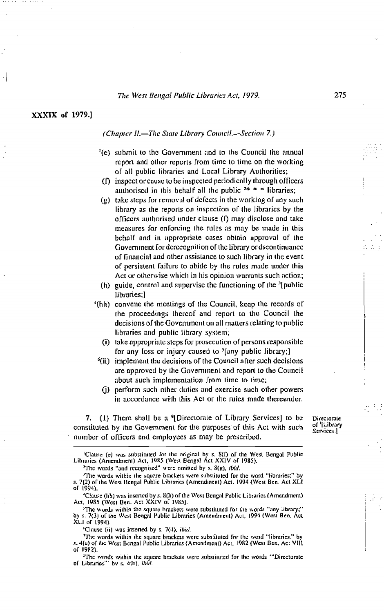XXXIX of 1979.1

#### (Chapter II.-The State Library Council.-Section 7.)

- <sup>1</sup>(c) submit to the Government and to the Council the annual report and other reports from time to time on the working of all public libraries and Local Library Authorities:
- (f) inspect or cause to be inspected periodically through officers authorised in this behalf all the public  $2* * *$  libraries;
- (g) take steps for removal of defects in the working of any such library as the reports on inspection of the libraries by the officers authorised under clause  $(1)$  may disclose and take measures for enforcing the rules as may be made in this behalf and in appropriate cases obtain approval of the Government for derecognition of the library or dscontinuance of financial and other assistance to such library in the event of persistent failure to abide by the rules made under this Act or otherwise which in his opinion warrants such action;
- (h) guide, control and supervise the functioning of the '[public] libraries:1
- '(hh) convene the meetings of the Council, keep the records of the proceedings thereof and report to the Council the decisions of the Government on all matters relating to public libraries and public library system;
	- (i) take appropriate steps for prosecution of persons responsible for any loss or injury caused to <sup>5</sup>[any public library;]
- <sup>6</sup>(ii) implement the decisions of the Council after such decisions are approved by the Government and report to the Council about such implementation from time to time;
	- (i) perform such other duties and exercise such other powers in accordance with this Act or the rules made thereunder.

7. (1) There shall be a "Directorate of Library Services] to be constituted by the Government for the purposes of this Act with such number of officers and employees as may be prescribed.

Directorate of '[Library Services.]

 $\mathbb{R}^2$ 

alar 1

'Clause (e) was substituted for the original by s. 8(I) of the West Bengal Public<br>Libraries (Amendment) Act, 1985 (West Bengal Act XXIV of 1985).

<sup>&</sup>lt;sup>2</sup>The words "and recognised" were omitted by s. 8(g), ibid.

<sup>&</sup>lt;sup>3</sup>The words within the square brackets were substituted for the word "libraries;" by s. 7(2) of the West Bengal Public Libraries (Amendinent) Act, 1994 (West Ben. Act XLI of 1994).

<sup>&</sup>lt;sup>4</sup>Clause (hh) was inserted by s. 8(h) of the West Bengal Public Libraries (Amendment) Act. 1985 (West Ben. Act XXIV of 1985).

<sup>&</sup>lt;sup>5</sup>The words within the square brackets were substituted for the words "any library;" by s. 7(3) of the West Bengal Public Libraries (Amendment) Act, 1994 (West Ben. Act XLI of 1994).

<sup>&</sup>lt;sup>6</sup>Clause (ii) was inserted by s. 7(4), ibid.

<sup>&#</sup>x27;The words within the square brackets were substituted for the word "libraries." by s. 4(a) of the West Bengal Public Libraries (Amendment) Act, 1982 (West Ben. Act VIII of 1982).

<sup>&</sup>quot;The words within the square brackets were substituted for the words "Directorate of Libraries" by s. 4(b), ibid.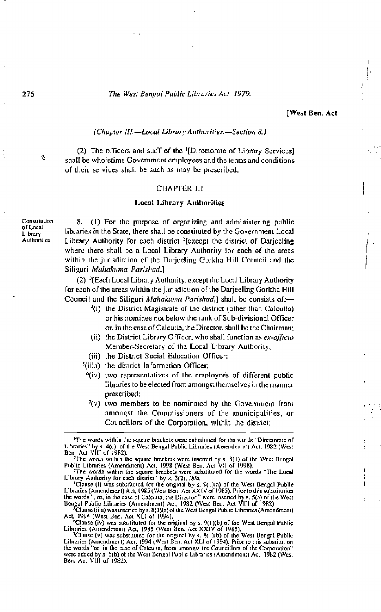#### **IWest Ben. Act**

# (Chapter III.-Local Library Authorities.-Section 8.)

(2) The officers and staff of the <sup>1</sup>(Directorate of Library Services) shall be wholetime Government employees and the terms and conditions of their services shall be such as may be prescribed.

#### **CHAPTER III**

#### **Local Library Authorities**

Constitution of Local Library Authorities.

ģ,

8. (1) For the purpose of organizing and administering public libraries in the State, there shall be constituted by the Government Local Library Authority for each district <sup>2</sup>[except the district of Darjeeling where there shall be a Local Library Authority for each of the areas within the jurisdiction of the Darjeeling Gorkha Hill Council and the Siliguri Mahakuma Parishad.]

(2) <sup>3</sup>[Each Local Library Authority, except the Local Library Authority for each of the areas within the jurisdiction of the Darjeeling Gorkha Hill Council and the Siliguri Mahakuma Parishad,] shall be consists of:-

- <sup>4</sup>(i) the District Magistrate of the district (other than Calcutta) or his nominee not below the rank of Sub-divisional Officer or, in the case of Calcutta, the Director, shall be the Chairman:
- (ii) the District Library Officer, who shall function as ex-officio Member-Secretary of the Local Library Authority;
- (iii) the District Social Education Officer;
- <sup>5</sup>(iiia) the district Information Officer:
	- <sup>6</sup>(iv) two representatives of the employee's of different public libraries to be elected from amongst themselves in the manner prescribed;
	- $\frac{7}{2}$  (v) two members to be nominated by the Government from amongst the Commissioners of the municipalities, or Councillors of the Corporation, within the district;

Library Authority for each district" by s. 3(2), *ibid.*<br>
"Clause (i) was substituted for the original by s. 9(1)(a) of the West Bengal Public<br>
"Clause (i) was substituted for the original by s. 9(1)(a) of the West Bengal

Clause (iiia) was inserted by s. 8(1)(a) of the West Bengal Public Libraries (Amendment) Act, 1994 (West Ben. Act XLI of 1994).<br>
"Clause (iv) was substituted for the original by s. 9(1)(b) of the West Bengal Public

Libraries (Amendment) Act, 1985 (West Ben. Act XXIV of 1985).

Telause (v) was substituted for the original by s. 8(1)(b) of the West Bengal Public<br>Libraries (Amendment) Act, 1994 (West Ben, Act XLI of 1994). Prior to this substitution the words "or, in the case of Calcuita, from amongst the Councillors of the Corporation" were added by s. 5(b) of the West Bengal Public Libraries (Amendment) Act, 1982 (West Ben. Act VIII of 1982).

<sup>&#</sup>x27;The words within the square brackets were substituted for the words "Directorate of Libraries" by s. 4(c), of the West Bengal Public Libraries (Amendment) Act, 1982 (West

Etonines ay s. 4(e), or the west bengal Public Libraries (Amenument) Act, 1982 (west<br>Ben, Act VIII of 1982).<br>The words within the square brackets were inserted by s. 3(1) of the West Bengal<br>Public Libraries (Amendment) Act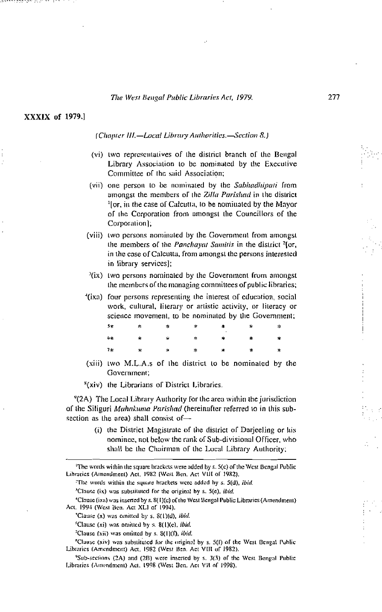# XXXIX of 1979.1

an an an am an an an an an

## (Chapter III,-Local Library Authorities,-Section 8.)

- (vi) two representatives of the district branch of the Bengal Library Association to be nominated by the Executive Committee of the said Association:
- (vii) one person to be nominated by the Sabhadhipati from amongst the members of the Zilla Parishad in the district <sup>1</sup>[or, in the case of Calcutta, to be nominated by the Mayor of the Corporation from amongst the Councillors of the Corporation];
- (viii) two persons nominated by the Government from amongst the members of the Panchayat Samitis in the district <sup>2</sup>[or, in the case of Calcutta, from amongst the persons interested in library services];
- $\frac{3}{1}$ (ix) two persons nominated by the Government from amongst the members of the managing committees of public libraries;
- '(ixa) four persons representing the interest of education, social work, cultural, literary or artistic activity, or literacy or science movement, to be nominated by the Government;

| $\mathcal{P}^{\mathcal{R}}$ , which are the set of $\mathcal{R}$ |  |  |  |
|------------------------------------------------------------------|--|--|--|
| 4<br>4 第 第 第 <mark>第 第 第</mark> 第                                |  |  |  |
|                                                                  |  |  |  |

- (xiii) two M.L.A.s of the district to be nominated by the Government:
- <sup>8</sup>(xiv) the Librarians of District Libraries.

<sup>9</sup>(2A) The Local Library Authority for the area within the jurisdiction of the Siliguri Mahakuma Parishad (hereinafter referred to in this subsection as the area) shall consist of-

> (i) the District Magistrate of the district of Darjeeling or his nominee, not below the rank of Sub-divisional Officer, who shall be the Chairman of the Local Library Authority;

<sup>3</sup>Clause (ix) was substituted for the original by s. 5(e), *ibid.* 

<sup>4</sup>Clause (ixa) was inserted by s. 8(1)(c) of the West Bengal Public Libraries (Amendment) Act. 1994 (West Ben. Act XLI of 1994),

'Clause (x) was omitted by s. 8(1)(d), ibid.

<sup>7</sup>Clause (xii) was omitted by s. 8(1)(f), ibid.

"Clause (xiv) was substituted for the original by s. 5(f) of the West Bengal Public Libraries (Amendment) Act, 1982 (West Ben. Act VIII of 1982).

<sup>9</sup>Sub-sections (2A) and (2B) were inserted by s. 3(3) of the West Bengal Public Libraries (Amendment) Act, 1998 (West Ben, Act VII of 1998),

The words within the square brackets were added by s. 5(c) of the West Bengal Public Libraries (Amendment) Act, 1982 (West Ben, Act VIII of 1982),

<sup>&</sup>lt;sup>2</sup>The words within the square brackets were added by s. 5(d), ibid.

 $^6$ Clause (xi) was omitted by s. 8(1)(c), *ibid.*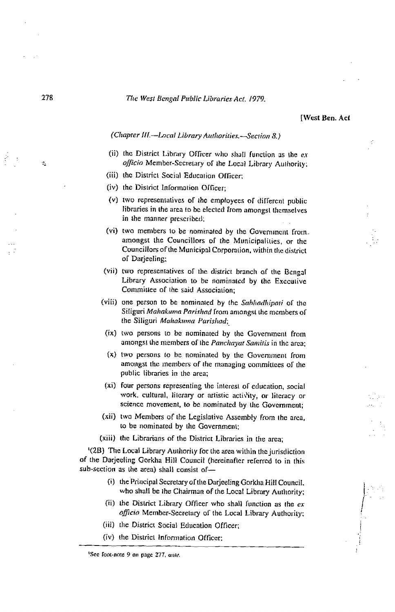**IWest Ben. Act** 

# (Chapter III.-Local Library Authorities.-Section 8.)

- (ii) the District Library Officer who shall function as the exofficio Member-Secretary of the Local Library Authority;
- (iii) the District Social Education Officer:
- (iv) the District Information Officer:
- (v) two representatives of the employees of different public libraries in the area to be elected from amongst themselves in the manner prescribed;
- (vi) two members to be nominated by the Government from. amongst the Councillors of the Municipalities, or the Councillors of the Municipal Corporation, within the district of Dariceling;
- (vii) two representatives of the district branch of the Bengal Library Association to be nominated by the Executive Committee of the said Association;
- (viii) one person to be nominated by the Sabhadhipati of the Siliguri Mahakuma Parishad from amongst the members of the Siliguri Mahakuma Parishad;
- (ix) two persons to be nominated by the Government from amongst the members of the Panchayat Samitis in the area:
- (x) two persons to be nominated by the Government from amongst the members of the managing committees of the public libraries in the area;
- (xi) four persons representing the interest of education, social work, cultural, literary or artistic activity, or literacy or science movement, to be nominated by the Government;
- (xii) two Members of the Legislative Assembly from the area, to be nominated by the Government;
- (xiii) the Librarians of the District Libraries in the area:

'(2B) The Local Library Authority for the area within the jurisdiction of the Darjeeling Gorkha Hill Council (hereinafter referred to in this sub-section as the area) shall consist of-

- (i) the Principal Secretary of the Darjeeling Gorkha Hill Council, who shall be the Chairman of the Local Library Authority;
- (ii) the District Library Officer who shall function as the exofficio Member-Secretary of the Local Library Authority;
- (iii) the District Social Education Officer:
- (iv) the District Information Officer:

 $\sigma_{\rm s}$ 

<sup>&#</sup>x27;See foot-note 9 on page 277, ante.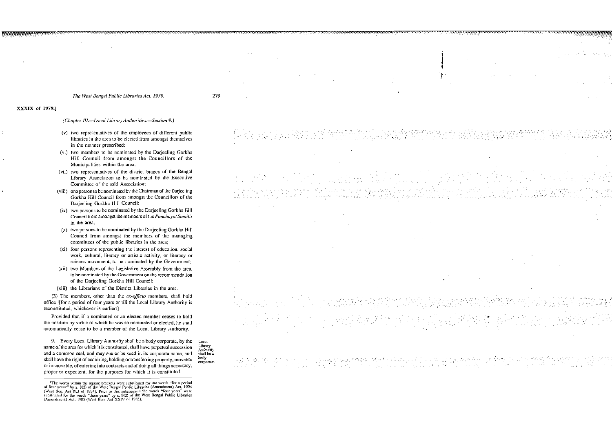# XXXIX of 1979.1

#### (Chapter III.--Local Library Authorities.--Section 9.)

- (v) two representatives of the employees of different public libraries in the area to be elected from amongst themselves in the manner prescribed:
- (vi) two members to be nominated by the Darieeling Gorkha Hill Council from amongst the Councillors of the Municipalities within the area;
- (vii) two representatives of the district branch of the Bengal Library Association to be nominated by the Executive Committee of the said Association:
- (viii) one person to be nominated by the Chairman of the Darjeeling Gorkha Hill Council from amongst the Councillors of the Darjeeling Gorkha Hill Council;
- (ix) two persons to be nominated by the Darjeeling Gorkha Hill Council from amongst the members of the Panchayat Samitis in the area;
- (x) two persons to be nominated by the Darjeeling Gorkha Hill Council from amongst the members of the managing committees of the public libraries in the area;
- (xi) four persons representing the interest of education, social work, cultural, literary or artistic activity, or literacy or science movement, to be nominated by the Government;
- (xii) two Members of the Legislative Assembly from the area, to be nominated by the Government on the recommendation of the Darjeeling Gorkha Hill Council;
- (xiii) the Librarians of the District Libraries in the area.

(3) The members, other than the ex-officio members, shall hold office <sup>1</sup>[for a period of four years or till the Local Library Authority is reconstituted, whichever is earlier:1

Provided that if a nominated or an elected member ceases to hold the position by virtue of which he was so nominated or elected, he shall automatically cease to be a member of the Local Library Authority.

9. Every Local Library Authority shall be a body corporate, by the name of the area for which it is constituted, shall have perpetual succession and a common seal, and may sue or be sued in its corporate name, and shall have the right of acquiring, holding or transferring property, movable or immovable, of entering into contracts and of doing all things necessary, proper or expedient, for the purposes for which it is constituted.

Local Library Authority shall be a body corporate.

-199

<sup>&</sup>lt;sup>1</sup>The words within the square brackets were substituted for the words "for a period of four years:" by s. 8(2) of the West Bengal Public Libraries (Amendment) Act, 1994 (West Ben. Act XLI of 1994). Prior to this substitut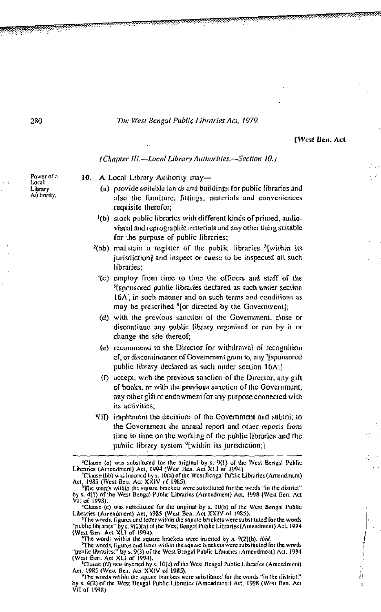**IWcst Ben. Act** 

(Chapter III.-Local Library Authorities.-Section 10.)

- 10. A Local Library Authority may-
	- (a) provide suitable lan ds and buildings for public libraries and also the furniture, fittings, materials and conveniences requisite therefor;
	- (b) stock public libraries with different kinds of printed, audiovisual and reprographic materials and any other thing suitable for the purpose of public libraries;
	- <sup>2</sup>(bb) maintain a register of the public libraries <sup>3</sup>[within its jurisdiction] and inspect or cause to be inspected all such libraries:
		- '(c) employ from time to time the officers and staff of the <sup>5</sup>[sponsored public libraries declared as such under section 16A] in such manner and on such terms and conditions as may be prescribed <sup>6</sup>[or directed by the Government];
		- (d) with the previous sauction of the Government, close or discontinue any public library organised or run by it or change the site thereof;
		- (e) recommend to the Director for withdrawal of recognition of, or discontinuance of Government grant to, any Isponsored public library declared as such under section 16A;)
		- $(1)$  accept, with the previous sanction of the Director, any gift of books, or with the previous sanction of the Government, any other gift or endowment for any purpose connected with its activities:
	- "(ff) implement the decisions of the Government and submit to the Government the annual report and other reports from time to time on the working of the public libraries and the public library system <sup>o</sup>[within its jurisdiction;]

Power of a Local Library Authority.

<sup>&</sup>lt;sup>1</sup>Clause (b) was substituted for the nrightal by s. 9(1) of the West Bengal Public Libraries (Amendment) Act, 1994 (West Ben, Act XLI of 1994).

<sup>&</sup>lt;sup>2</sup>Clause (bb) was inserted by s. 10(4) of the West Bengal Public Libraries (Amendment)<br>Act, 1985 (West Ben, Act XXIV of 1985).<br><sup>2</sup>The words within the square brackets were substituted for the words "in the district"

by s. 4(1) of the West Bengal Public Libraries (Amendment) Act, 1998 (West Ben. Act VII of 1998).

The use of the substituted for the original by s.  $10(b)$  of the West Bengal Public<br>Libraries (Amendment) Act, 1985 (West Ben. Act XXIV of 1985).<br>The words. figures and letter within the square brackets were substituted fo

<sup>&</sup>quot;The words within the square brackets were inserted by s. 9(2)(b), *ibid* 

The words, figures and letter within the square brackets were substituted for the words<br>
"The words, figures and letter within the square brackets were substituted for the words<br>
"public Libraries (Amendment) Act, 1994<br>
(W

<sup>(</sup>West Etc) was inserted by s. 10(c) of the West Bengal Public Libraries (Amendment)<br>Act, 1985 (West Ben. Act XXIV of 1985).<br>The words within the square brackets were substituted for the words "in the district;"

by s. 4(2) of the West Bengal Public Libraries (Amendment) Act, 1998 (West Ben. Act VII of 1998).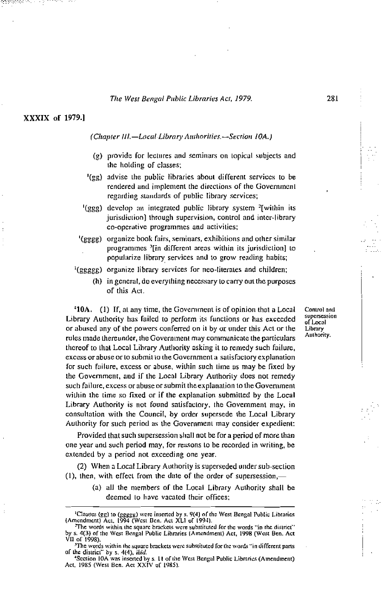# XXXIX of 1979.]

an pangaran s

#### (Chapter III.-Local Library Authorities.-Section 10A.)

- (g) provide for lectures and seminars on topical subjects and the holding of classes;
- '(gg) advise the public libraries about different services to be rendered and implement the directions of the Government regarding standards of public library services;
- <sup>1</sup>(ggg) develop an integrated public library system <sup>2</sup>[within its] jurisdiction] through supervision, control and inter-library co-operative programmes and activities;
- '(gggg) organize book fairs, seminars, exhibitions and other similar programmes <sup>3</sup>[in different areas within its jurisdiction] to popularize library services and to grow reading habits;
- <sup>1</sup>(ggggg) organize library services for neo-literates and children;
	- (h) in general, do everything necessary to carry out the purposes of this Act.

<sup>4</sup>10A. (1) If, at any time, the Government is of opinion that a Local Library Authority has failed to perform its functions or has exceeded or abused any of the powers conferred on it by or under this Act or the rules made thereunder, the Government may communicate the particulars thereof to that Local Library Authority asking it to remedy such failure, excess or abuse or to submit to the Government a satisfactory explanation for such failure, excess or abuse, within such time as may be fixed by the Government, and if the Local Library Authority does not remedy such failure, excess or abuse or submit the explanation to the Government within the time so fixed or if the explanation submitted by the Local Library Authority is not found satisfactory, the Government may, in consultation with the Council, by order supersede the Local Library Authority for such period as the Government may consider expedient:

Provided that such supersession shall not be for a period of more than one year and such period may, for reasons to be recorded in writing, be extended by a period not exceeding one year.

(2) When a Local Library Authority is superseded under sub-section (1), then, with effect from the date of the order of supersession,-

> (a) all the members of the Local Library Authority shall be deemed to have vacated their offices;

Control and supersession of Local Library Authority.

<sup>&</sup>lt;sup>1</sup>Clauses (gg) to (ggggg) were inserted by s. 9(4) of the West Bengal Public Libraries (Amendment) Act, 1994 (West Ben, Act XLI of 1994).

The words within the square brackets were substituted for the words "in the district" by s. 4(3) of the West Bengal Public Libraries (Amendment) Act, 1998 (West Ben. Act VII of 1998).<br>VII of 1998).<br>The words within the square brackets were substituted for the words "in different parts".

of the district" by s. 4(4), ibid.

<sup>&</sup>quot;Section 10A was inserted by s. 11 of the West Bengal Public Libraries (Amendment)<br>Act, 1985 (West Ben. Act XXIV of 1985).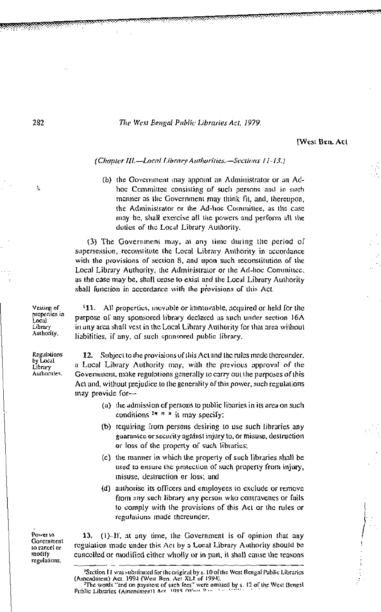[West Ben. Act

#### (Chapter III.-Local Library Authorities.-Sections 11-13.)

(b) the Government may appoint an Administrator or an Adhoe Committee consisting of such persons and in such manner as the Government may think fit, and, thereupon, the Administrator or the Ad-hoc Committee, as the case may be, shall exercise all the powers and perform all the duties of the Local Library Authority,

(3) The Government may, at any time during the period of supersession, reconstitute the Local Library Authority in accordance with the provisions of section 8, and upon such reconstitution of the Local Library Authority, the Administrator or the Ad-hoc Committee, as the case may be, shall cease to exist and the Local Library Authority shall function in accordance with the provisions of this Act.

<sup>1</sup>11. All properties, movable or limmovable, acquired or held for the purpose of any sponsored library declared as such under section 16A in any area shall vest in the Local Library Authority for that area without liabilities, if any, of such sponsored public library.

12. Subject to the provisions of this Act and the rules made thereunder, a Local Library Authority may, with the previous approval of the Government, make regulations generally to carry out the purposes of this Act and, without prejudice to the generality of this power, such regulations may provide for-

- (a) the admission of persons to public libaries in its area on such conditions  $3* * i$  it may specify;
- (b) requiring from persons desiring to use such libraries any guarantee or security against injury to, or misuse, destruction or loss of the property of such libraries:
- (c) the manner in which the property of such libraries shall be used to ensure the protection of such property from injury, misuse, destruction or loss; and
- (d) authorise its officers and employees to exclude or remove from any such library any person who contravenes or fails to comply with the provisions of this Act or the rules or regulations made thereunder.

(1)-If, at any time, the Government is of opinion that any 13. regulation made under this Act by a Local Library Authority should be cancelled or modified either wholly or in part, it shall cause the reasons

Vesting of properties in Local Library Authority.

Regulations by Local Library Authorities.

282

A.

Power to Government to cancel or modify regulations,

<sup>&</sup>lt;sup>1</sup>Section 11 was substituted for the original by s. 10 of the West Bengal Public Libraries (Amendment) Act, 1994 (West Ben. Act XLI of 1994). acadition, Pret, 1999 Cyres Sent The The Contract of the US S. 12 of the West Bengal<br>"The words "and on payition of such fees" were granted by s. 12 of the West Bengal Public Libraries (Amendment) Act, 1985 OVari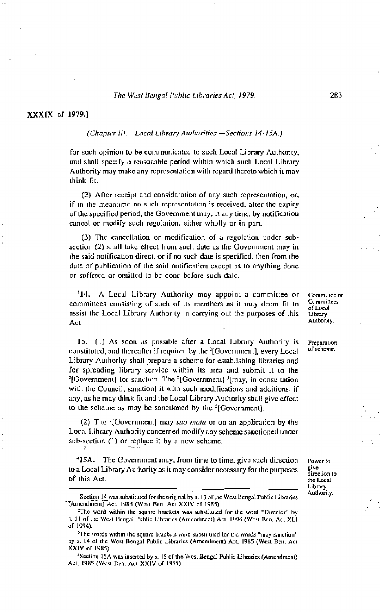#### XXXIX of 1979.]

#### (Chapter III.-Local Library Authorities.-Sections 14-15A.)

for such opinion to be communicated to such Local Library Authority, and shall specify a reasonable period within which such Local Library Authority may make any representation with regard thereto which it may think fit.

(2) After receipt and consideration of any such representation, or, if in the meantime no such representation is received, after the expiry of the specified period, the Government may, at any time, by notification cancel or modify such regulation, either wholly or in part,

(3) The cancellation or modification of a regulation under subsection (2) shall take effect from such date as the Government may in the said notification direct, or if no such date is specified, then from the date of publication of the said notification except as to anything done or suffered or omitted to be done before such date.

A Local Library Authority may appoint a committee or  $14.$ committees consisting of such of its members as it may deem fit to assist the Local Library Authority in carrying out the purposes of this Act.

15. (1) As soon as possible after a Local Library Authority is constituted, and thereafter if required by the <sup>2</sup>[Government], every Local Library Authority shall prepare a scheme for establishing libraries and for spreading library service within its area and submit it to the <sup>2</sup>[Government] for sanction. The <sup>2</sup>[Government] <sup>3</sup>[may, in consultation with the Council, sanction] it with such modifications and additions, if any, as he may think fit and the Local Library Authority shall give effect to the scheme as may be sanctioned by the <sup>2</sup>[Government].

(2) The <sup>3</sup>[Government] may *suo motu* or on an application by the Local Library Authority concerned modify any scheme sanctioned under sub-section (1) or replace it by a new scheme.

<sup>1</sup>15A. The Government may, from time to time, give such direction to a Local Library Authority as it may consider necessary for the purposes of this Act.

Committee or Committees of Local Library Authority.

Preparation of scheme.

283

Power to give direction to the Local Library Authority.

Section 14 was substituted for the original by s. 13 of the West Bengal Public Libraries (Amendment) Act, 1985 (West Ben. Act XXIV of 1985)

<sup>&</sup>lt;sup>2</sup>The word within the square brackets was substituted for the word "Director" by s. 11 of the West Bengal Public Libraries (Amendment) Act. 1994 (West Ben, Act XLI of 1994).

<sup>&</sup>lt;sup>3</sup>The words within the square brackets were substituted for the words "may sanction" by s. 14 of the West Bengal Public Libraries (Amendment) Act, 1985 (West Ben, Act XXIV of 1985).

<sup>&</sup>lt;sup>4</sup>Section 15A was inserted by s. 15 of the West Bengal Public Libraries (Amendment) Act, 1985 (West Ben. Act XXIV of 1985).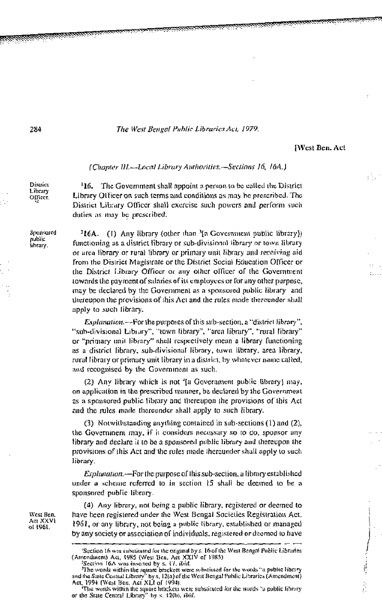**iWest Ben. Act** 

#### (Chapter III.---Local Library Authorities.--Sections 16, 16A.)

District Library Officer.

Sponsored

miblic

iibrarv.

The Government shall appoint a person to be called the District '16. Library Offices on such terms and conditions as may be prescribed. The District Library Officer shall exercise such powers and perform such duties as may be prescribed.

<sup>2</sup>16A. (1) Any library (other than <sup>γ</sup>ια Government public library)) functioning as a district library or sub-divisional library or town library or area library or rural library or primary unit library and receiving aid from the District Magistrate or the District Social Education Officer or the District Library Officer or any other officer of the Government towards the payment of salaries of its employees or for any other purpose, may be declared by the Government as a sponsored public library and thereupon the provisions of this Act and the rules made thereunder shall apply to such library.

Explanation.-For the purposes of this sub-section, a "district library", "sub-divisional Library", "town library", "area library", "rural library" or "primary unit library" shall respectively mean a library functioning as a district library, sub-divisional library, town library, area library, rural library or primary unit library in a district, by whatever name called, and recognised by the Government as such.

(2) Any library which is not '[a Government public library] may, on application in the prescribed manner, be declared by the Government as a sponsored public fibrary and thereupon the provisions of this Act and the rules made thereunder shall apply to such library.

(3) Notwithstanding anything contained in sub-sections (1) and (2), the Government may, if it considers necessary so to do, sponsor any library and declare it to be a sponsored public library and thereupon the provisions of this Act and the rules made thereunder shall apply to such library.

Explanation.—For the purpose of this sub-section, a library established under a scheme referred to in section 15 shall be deemed to be a sponsored public library.

(4) Any library, not being a public library, registered or decmed to have been registered under the West Bengal Societies Registration Act. 1961, or any library, not being a public library, established or managed by any society or association of individuals, registered or decmed to have

West Ben, Aet XXVI of 1961.

<sup>&#</sup>x27;Section 16 was substituted for the original by s. 16 of the West Bengal Public Libraries (Amendinent) Act, 1985 (West Ben, Act XXIV of 1985) Section 16A was insected by s. 17, did.

The words within the square brackets were substitued for the words "a public library and the State Central Library' by s. 12(a) of the Nussingen for the words at public Library.<br>Act, 1994 (West Ben, Act XLI of 1994).<br>The words within the square brackets were substituted for the words "a public library<br>or t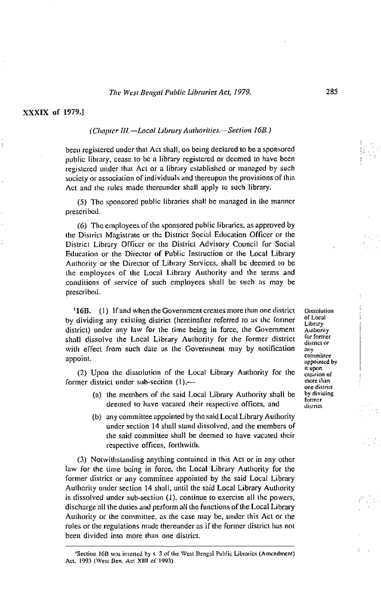#### (Chapter III.-Local Library Authorities.-Section 16B.)

been registered under that Act shall, on being declared to be a sponsored public library, cease to be a library registered or deemed to have been registered under that Act or a library established or managed by such society or association of individuals and thereupon the provisions of this Act and the rules made thereunder shall apply to such library.

(5) The sponsored public libraries shall be managed in the manner prescribed.

(6) The employees of the sponsored public libraries, as approved by the District Magistrate or the District Social Education Officer or the District Library Officer or the District Advisory Council for Social Education or the Director of Public Instruction or the Local Library Authority or the Director of Library Services, shall be deemed to be the employees of the Local Library Authority and the terms and conditions of service of such employees shall be such as may be prescribed.

<sup>1</sup>16B. (1) If and when the Government creates more than one district by dividing any existing district (hereinafter referred to as the former district) under any law for the time being in force, the Government shall dissolve the Local Library Authority for the former district with effect from such date as the Government may by notification appoint.

(2) Upon the dissolution of the Local Library Authority for the former district under sub-section  $(1)$ ,- $-$ 

- (a) the members of the said Local Library Authority shall be deemed to have vacated their respective offices, and
- (b) any committee appointed by the said Local Library Authority under section 14 shall stand dissolved, and the members of the said committee shall be deemed to have vacated their respective offices, forthwith.

(3) Notwithstanding anything contained in this Act or in any other law for the time being in force, the Local Library Authority for the former district or any committee appointed by the said Local Library Authority under section 14 shall, until the said Local Library Authority is dissolved under sub-section (1), continue to exercise all the powers, discharge all the duties and perform all the functions of the Local Library Authority or the committee, as the case may be, under this Act or the rules or the regulations made thereunder as if the former district has not been divided into more than one district.

**Dissolution** of Local Library Authority for former district or anv committee appointed by it upon creation of more than one district by dividing former district.

<sup>&#</sup>x27;Section 16B was inserted by s. 2 of the West Bengal Public Libraries (Amendment) Act, 1993 (West Ben, Act XIII of 1993).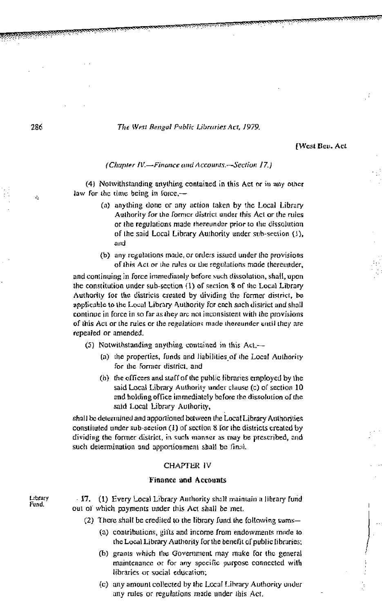[West Ben. Act

# (Chapter IV.-Finance and Accounts.-Section 17.)

(4) Notwithstanding anything contained in this Act or in any other law for the time being in force, $-$ 

- (a) anything done or any action taken by the Local Library Authority for the former district under this Act or the rules or the regulations made thereunder prior to the dissolution of the said Local Library Authority under sub-section (1), and
- (b) any regulations made, or orders issued under the provisions of this Act or the rules or the regulations made thereunder,

and continuing in force immediately before such dissolution, shall, upon the constitution under sub-section (1) of section 8 of the Local Library Authority for the districts created by dividing the former district, be applicable to the Local Library Authority for each such district and shall continue in force in so far as they are not inconsistent with the provisions of this Act or the rules or the regulations made thereunder until they are repealed or amended.

(5) Notwithstanding anything contained in this Act.-

- (a) the properties, funds and liabilities of the Local Authority for the former district, and
- (b) the officers and staff of the public libraries employed by the said Local Library Authority under clause (c) of section 10 and holding office immediately before the dissolution of the said Local Library Authority,

shall be determined and apportioned between the Local Library Authorities constituted under sub-section (1) of section 8 for the districts created by dividing the former district, in such manner as may be prescribed, and such determination and apportionment shall be final.

# CHAPTER IV

# **Finance and Accounts**

- 17. (1) Every Local Library Authority shall maintain a library fund out of which payments under this Act shall be met.
	- (2) There shall be credited to the library fund the following sums-
		- (a) contributions, gifts and income from endowments made to the Local Library Authority for the benefit of public libraries;
		- (b) grants which the Government may make for the general maintenance or for any specific purpose connected with libraries or social education;
		- (c) any amount collected by the Local Library Authority under any rules or regulations made under this Act.

286

Ō.

Library Fund.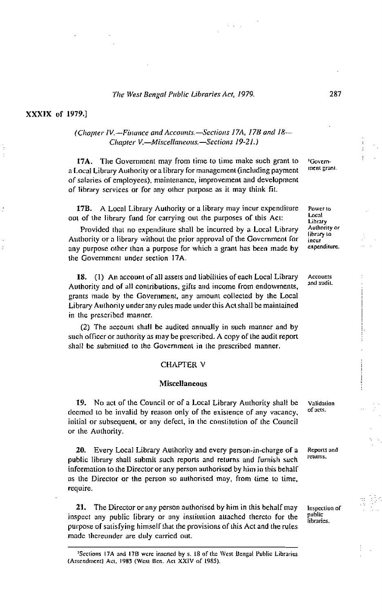## XXXIX of 1979.]

# (Chapter IV,--Finance and Accounts,-Sections 17A, 17B and 18--Chapter V.-Miscellaneous.-Sections 19-21.)

17A. The Government may from time to time make such grant to a Local Library Authority or a library for management (including payment of salaries of employees), maintenance, improvement and development of library services or for any other purpose as it may think fit.

17B. A Local Library Authority or a library may incur expenditure out of the library fund for carrying out the purposes of this Act:

Provided that no expenditure shall be incurred by a Local Library Authority or a library without the prior approval of the Government for any purpose other than a purpose for which a grant has been made by the Government under section 17A.

18. (1) An account of all assets and liabilities of each Local Library Authority and of all contributions, gifts and income from endowments, grants made by the Government, any amount collected by the Local Library Authority under any rules made under this Act shall be maintained in the prescribed manner.

(2) The account shall be audited annually in such manner and by such officer or authority as may be prescribed. A copy of the audit report shall be submitted to the Government in the prescribed manner.

# **CHAPTER V**

#### **Miscellaneous**

19. No act of the Council or of a Local Library Authority shall be deemed to be invalid by reason only of the existence of any vacancy, initial or subsequent, or any defect, in the constitution of the Council or the Authority.

20. Every Local Library Authority and every person-in-charge of a public library shall submit such reports and returns and furnish such information to the Director or any person authorised by him in this behalf as the Director or the person so authorised may, from time to time, require.

21. The Director or any person authorised by him in this behalf may inspect any public library or any institution attached thereto for the purpose of satisfying himself that the provisions of this Act and the rules made thereunder are duly carried out.

**Govern**ment grant.

Power to Local Library Authority or library to incur expenditure.

Accounts and audit.

Validation of arts.

Reports and returns.

Inspection of public libraries.

<sup>&</sup>lt;sup>1</sup>Sections 17A and 17B were inserted by s. 18 of the West Bengal Public Libraries (Amendment) Act, 1985 (West Ben, Act XXIV of 1985).